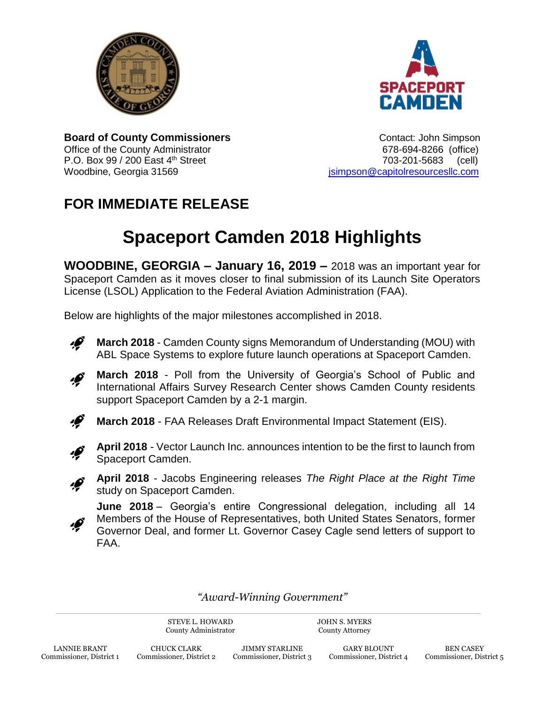



**Board of County Commissioners Contact: John Simpson** Office of the County Administrator 678-694-8266 (office) P.O. Box 99 / 200 East 4<sup>th</sup> Street 703-201-5683 (cell) Woodbine, Georgia 31569 **journalist entity of the Capitol**resourcesllc.com

## **FOR IMMEDIATE RELEASE**

## **Spaceport Camden 2018 Highlights**

**WOODBINE, GEORGIA – January 16, 2019 –** 2018 was an important year for Spaceport Camden as it moves closer to final submission of its Launch Site Operators License (LSOL) Application to the Federal Aviation Administration (FAA).

Below are highlights of the major milestones accomplished in 2018.

'∳ **March 2018** - Camden County signs Memorandum of Understanding (MOU) with ABL Space Systems to explore future launch operations at Spaceport Camden.



**March 2018** - FAA Releases Draft Environmental Impact Statement (EIS).



**April 2018** - Vector Launch Inc. announces intention to be the first to launch from Spaceport Camden.



 $\mathscr{L}$ 

**April 2018** - Jacobs Engineering releases *The Right Place at the Right Time* study on Spaceport Camden.

**June 2018** – Georgia's entire Congressional delegation, including all 14 Members of the House of Representatives, both United States Senators, former Governor Deal, and former Lt. Governor Casey Cagle send letters of support to FAA.

*"Award-Winning Government"*

STEVE L. HOWARD County Administrator JOHN S. MYERS County Attorney

LANNIE BRANT Commissioner, District 1

CHUCK CLARK Commissioner, District 2

JIMMY STARLINE Commissioner, District 3

GARY BLOUNT Commissioner, District 4

BEN CASEY Commissioner, District 5